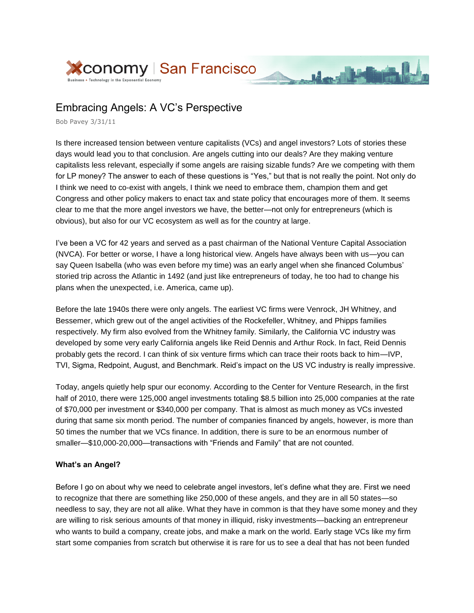

## Embracing Angels: A VC's Perspective

Bob Pavey 3/31/11

Is there increased tension between venture capitalists (VCs) and angel investors? Lots of stories these days would lead you to that conclusion. Are angels cutting into our deals? Are they making venture capitalists less relevant, especially if some angels are raising sizable funds? Are we competing with them for LP money? The answer to each of these questions is "Yes," but that is not really the point. Not only do I think we need to co-exist with angels, I think we need to embrace them, champion them and get Congress and other policy makers to enact tax and state policy that encourages more of them. It seems clear to me that the more angel investors we have, the better—not only for entrepreneurs (which is obvious), but also for our VC ecosystem as well as for the country at large.

March Marin

I've been a VC for 42 years and served as a past chairman of the National Venture Capital Association (NVCA). For better or worse, I have a long historical view. Angels have always been with us—you can say Queen Isabella (who was even before my time) was an early angel when she financed Columbus' storied trip across the Atlantic in 1492 (and just like entrepreneurs of today, he too had to change his plans when the unexpected, i.e. America, came up).

Before the late 1940s there were only angels. The earliest VC firms were Venrock, JH Whitney, and Bessemer, which grew out of the angel activities of the Rockefeller, Whitney, and Phipps families respectively. My firm also evolved from the Whitney family. Similarly, the California VC industry was developed by some very early California angels like Reid Dennis and Arthur Rock. In fact, Reid Dennis probably gets the record. I can think of six venture firms which can trace their roots back to him—IVP, TVI, Sigma, Redpoint, August, and Benchmark. Reid's impact on the US VC industry is really impressive.

Today, angels quietly help spur our economy. According to the Center for Venture Research, in the first half of 2010, there were 125,000 angel investments totaling \$8.5 billion into 25,000 companies at the rate of \$70,000 per investment or \$340,000 per company. That is almost as much money as VCs invested during that same six month period. The number of companies financed by angels, however, is more than 50 times the number that we VCs finance. In addition, there is sure to be an enormous number of smaller—\$10,000-20,000—transactions with "Friends and Family" that are not counted.

## **What's an Angel?**

Before I go on about why we need to celebrate angel investors, let's define what they are. First we need to recognize that there are something like 250,000 of these angels, and they are in all 50 states—so needless to say, they are not all alike. What they have in common is that they have some money and they are willing to risk serious amounts of that money in illiquid, risky investments—backing an entrepreneur who wants to build a company, create jobs, and make a mark on the world. Early stage VCs like my firm start some companies from scratch but otherwise it is rare for us to see a deal that has not been funded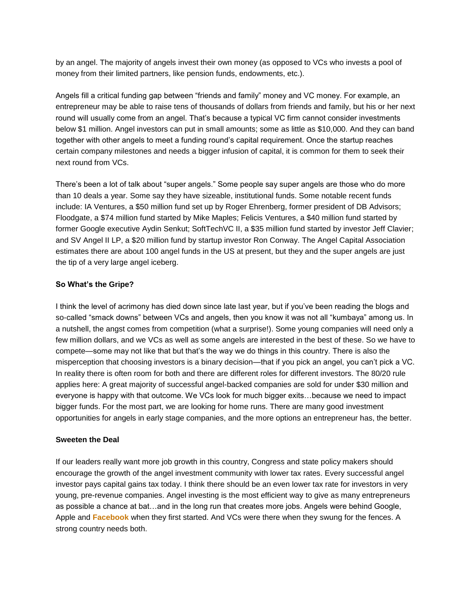by an angel. The majority of angels invest their own money (as opposed to VCs who invests a pool of money from their limited partners, like pension funds, endowments, etc.).

Angels fill a critical funding gap between "friends and family" money and VC money. For example, an entrepreneur may be able to raise tens of thousands of dollars from friends and family, but his or her next round will usually come from an angel. That's because a typical VC firm cannot consider investments below \$1 million. Angel investors can put in small amounts; some as little as \$10,000. And they can band together with other angels to meet a funding round's capital requirement. Once the startup reaches certain company milestones and needs a bigger infusion of capital, it is common for them to seek their next round from VCs.

There's been a lot of talk about "super angels." Some people say super angels are those who do more than 10 deals a year. Some say they have sizeable, institutional funds. Some notable recent funds include: IA Ventures, a \$50 million fund set up by Roger Ehrenberg, former president of DB Advisors; Floodgate, a \$74 million fund started by Mike Maples; Felicis Ventures, a \$40 million fund started by former Google executive Aydin Senkut; SoftTechVC II, a \$35 million fund started by investor Jeff Clavier; and SV Angel II LP, a \$20 million fund by startup investor Ron Conway. The Angel Capital Association estimates there are about 100 angel funds in the US at present, but they and the super angels are just the tip of a very large angel iceberg.

## **So What's the Gripe?**

I think the level of acrimony has died down since late last year, but if you've been reading the blogs and so-called "smack downs" between VCs and angels, then you know it was not all "kumbaya" among us. In a nutshell, the angst comes from competition (what a surprise!). Some young companies will need only a few million dollars, and we VCs as well as some angels are interested in the best of these. So we have to compete—some may not like that but that's the way we do things in this country. There is also the misperception that choosing investors is a binary decision—that if you pick an angel, you can't pick a VC. In reality there is often room for both and there are different roles for different investors. The 80/20 rule applies here: A great majority of successful angel-backed companies are sold for under \$30 million and everyone is happy with that outcome. We VCs look for much bigger exits…because we need to impact bigger funds. For the most part, we are looking for home runs. There are many good investment opportunities for angels in early stage companies, and the more options an entrepreneur has, the better.

## **Sweeten the Deal**

If our leaders really want more job growth in this country, Congress and state policy makers should encourage the growth of the angel investment community with lower tax rates. Every successful angel investor pays capital gains tax today. I think there should be an even lower tax rate for investors in very young, pre-revenue companies. Angel investing is the most efficient way to give as many entrepreneurs as possible a chance at bat…and in the long run that creates more jobs. Angels were behind Google, Apple and **Facebook** when they first started. And VCs were there when they swung for the fences. A strong country needs both.